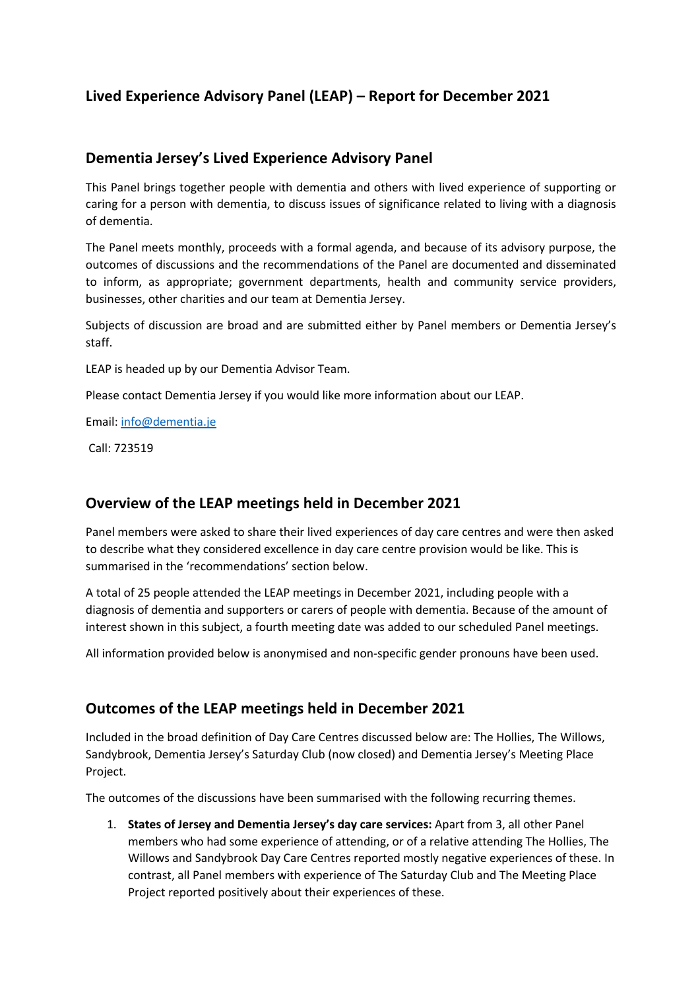# **Lived Experience Advisory Panel (LEAP) – Report for December 2021**

### **Dementia Jersey's Lived Experience Advisory Panel**

This Panel brings together people with dementia and others with lived experience of supporting or caring for a person with dementia, to discuss issues of significance related to living with a diagnosis of dementia.

The Panel meets monthly, proceeds with a formal agenda, and because of its advisory purpose, the outcomes of discussions and the recommendations of the Panel are documented and disseminated to inform, as appropriate; government departments, health and community service providers, businesses, other charities and our team at Dementia Jersey.

Subjects of discussion are broad and are submitted either by Panel members or Dementia Jersey's staff.

LEAP is headed up by our Dementia Advisor Team.

Please contact Dementia Jersey if you would like more information about our LEAP.

Email: info@dementia.je

Call: 723519

# **Overview of the LEAP meetings held in December 2021**

Panel members were asked to share their lived experiences of day care centres and were then asked to describe what they considered excellence in day care centre provision would be like. This is summarised in the 'recommendations' section below.

A total of 25 people attended the LEAP meetings in December 2021, including people with a diagnosis of dementia and supporters or carers of people with dementia. Because of the amount of interest shown in this subject, a fourth meeting date was added to our scheduled Panel meetings.

All information provided below is anonymised and non-specific gender pronouns have been used.

# **Outcomes of the LEAP meetings held in December 2021**

Included in the broad definition of Day Care Centres discussed below are: The Hollies, The Willows, Sandybrook, Dementia Jersey's Saturday Club (now closed) and Dementia Jersey's Meeting Place Project.

The outcomes of the discussions have been summarised with the following recurring themes.

1. **States of Jersey and Dementia Jersey's day care services:** Apart from 3, all other Panel members who had some experience of attending, or of a relative attending The Hollies, The Willows and Sandybrook Day Care Centres reported mostly negative experiences of these. In contrast, all Panel members with experience of The Saturday Club and The Meeting Place Project reported positively about their experiences of these.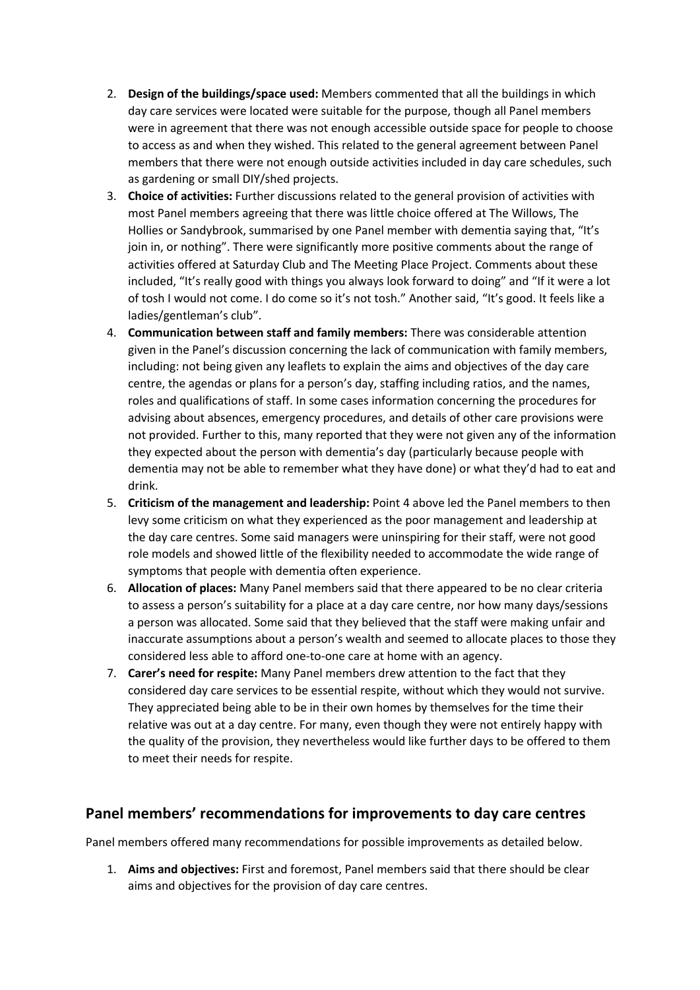- 2. **Design of the buildings/space used:** Members commented that all the buildings in which day care services were located were suitable for the purpose, though all Panel members were in agreement that there was not enough accessible outside space for people to choose to access as and when they wished. This related to the general agreement between Panel members that there were not enough outside activities included in day care schedules, such as gardening or small DIY/shed projects.
- 3. **Choice of activities:** Further discussions related to the general provision of activities with most Panel members agreeing that there was little choice offered at The Willows, The Hollies or Sandybrook, summarised by one Panel member with dementia saying that, "It's join in, or nothing". There were significantly more positive comments about the range of activities offered at Saturday Club and The Meeting Place Project. Comments about these included, "It's really good with things you always look forward to doing" and "If it were a lot of tosh I would not come. I do come so it's not tosh." Another said, "It's good. It feels like a ladies/gentleman's club".
- 4. **Communication between staff and family members:** There was considerable attention given in the Panel's discussion concerning the lack of communication with family members, including: not being given any leaflets to explain the aims and objectives of the day care centre, the agendas or plans for a person's day, staffing including ratios, and the names, roles and qualifications of staff. In some cases information concerning the procedures for advising about absences, emergency procedures, and details of other care provisions were not provided. Further to this, many reported that they were not given any of the information they expected about the person with dementia's day (particularly because people with dementia may not be able to remember what they have done) or what they'd had to eat and drink.
- 5. **Criticism of the management and leadership:** Point 4 above led the Panel members to then levy some criticism on what they experienced as the poor management and leadership at the day care centres. Some said managers were uninspiring for their staff, were not good role models and showed little of the flexibility needed to accommodate the wide range of symptoms that people with dementia often experience.
- 6. **Allocation of places:** Many Panel members said that there appeared to be no clear criteria to assess a person's suitability for a place at a day care centre, nor how many days/sessions a person was allocated. Some said that they believed that the staff were making unfair and inaccurate assumptions about a person's wealth and seemed to allocate places to those they considered less able to afford one-to-one care at home with an agency.
- 7. **Carer's need for respite:** Many Panel members drew attention to the fact that they considered day care services to be essential respite, without which they would not survive. They appreciated being able to be in their own homes by themselves for the time their relative was out at a day centre. For many, even though they were not entirely happy with the quality of the provision, they nevertheless would like further days to be offered to them to meet their needs for respite.

### **Panel members' recommendations for improvements to day care centres**

Panel members offered many recommendations for possible improvements as detailed below.

1. **Aims and objectives:** First and foremost, Panel members said that there should be clear aims and objectives for the provision of day care centres.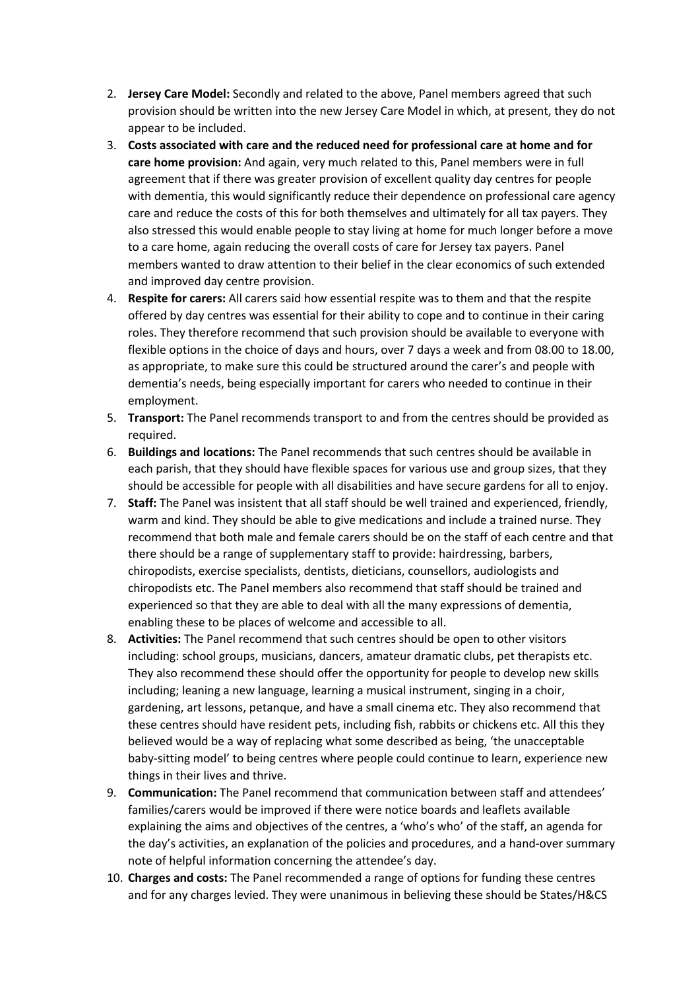- 2. **Jersey Care Model:** Secondly and related to the above, Panel members agreed that such provision should be written into the new Jersey Care Model in which, at present, they do not appear to be included.
- 3. **Costs associated with care and the reduced need for professional care at home and for care home provision:** And again, very much related to this, Panel members were in full agreement that if there was greater provision of excellent quality day centres for people with dementia, this would significantly reduce their dependence on professional care agency care and reduce the costs of this for both themselves and ultimately for all tax payers. They also stressed this would enable people to stay living at home for much longer before a move to a care home, again reducing the overall costs of care for Jersey tax payers. Panel members wanted to draw attention to their belief in the clear economics of such extended and improved day centre provision.
- 4. **Respite for carers:** All carers said how essential respite was to them and that the respite offered by day centres was essential for their ability to cope and to continue in their caring roles. They therefore recommend that such provision should be available to everyone with flexible options in the choice of days and hours, over 7 days a week and from 08.00 to 18.00, as appropriate, to make sure this could be structured around the carer's and people with dementia's needs, being especially important for carers who needed to continue in their employment.
- 5. **Transport:** The Panel recommends transport to and from the centres should be provided as required.
- 6. **Buildings and locations:** The Panel recommends that such centres should be available in each parish, that they should have flexible spaces for various use and group sizes, that they should be accessible for people with all disabilities and have secure gardens for all to enjoy.
- 7. **Staff:** The Panel was insistent that all staff should be well trained and experienced, friendly, warm and kind. They should be able to give medications and include a trained nurse. They recommend that both male and female carers should be on the staff of each centre and that there should be a range of supplementary staff to provide: hairdressing, barbers, chiropodists, exercise specialists, dentists, dieticians, counsellors, audiologists and chiropodists etc. The Panel members also recommend that staff should be trained and experienced so that they are able to deal with all the many expressions of dementia, enabling these to be places of welcome and accessible to all.
- 8. **Activities:** The Panel recommend that such centres should be open to other visitors including: school groups, musicians, dancers, amateur dramatic clubs, pet therapists etc. They also recommend these should offer the opportunity for people to develop new skills including; leaning a new language, learning a musical instrument, singing in a choir, gardening, art lessons, petanque, and have a small cinema etc. They also recommend that these centres should have resident pets, including fish, rabbits or chickens etc. All this they believed would be a way of replacing what some described as being, 'the unacceptable baby-sitting model' to being centres where people could continue to learn, experience new things in their lives and thrive.
- 9. **Communication:** The Panel recommend that communication between staff and attendees' families/carers would be improved if there were notice boards and leaflets available explaining the aims and objectives of the centres, a 'who's who' of the staff, an agenda for the day's activities, an explanation of the policies and procedures, and a hand-over summary note of helpful information concerning the attendee's day.
- 10. **Charges and costs:** The Panel recommended a range of options for funding these centres and for any charges levied. They were unanimous in believing these should be States/H&CS